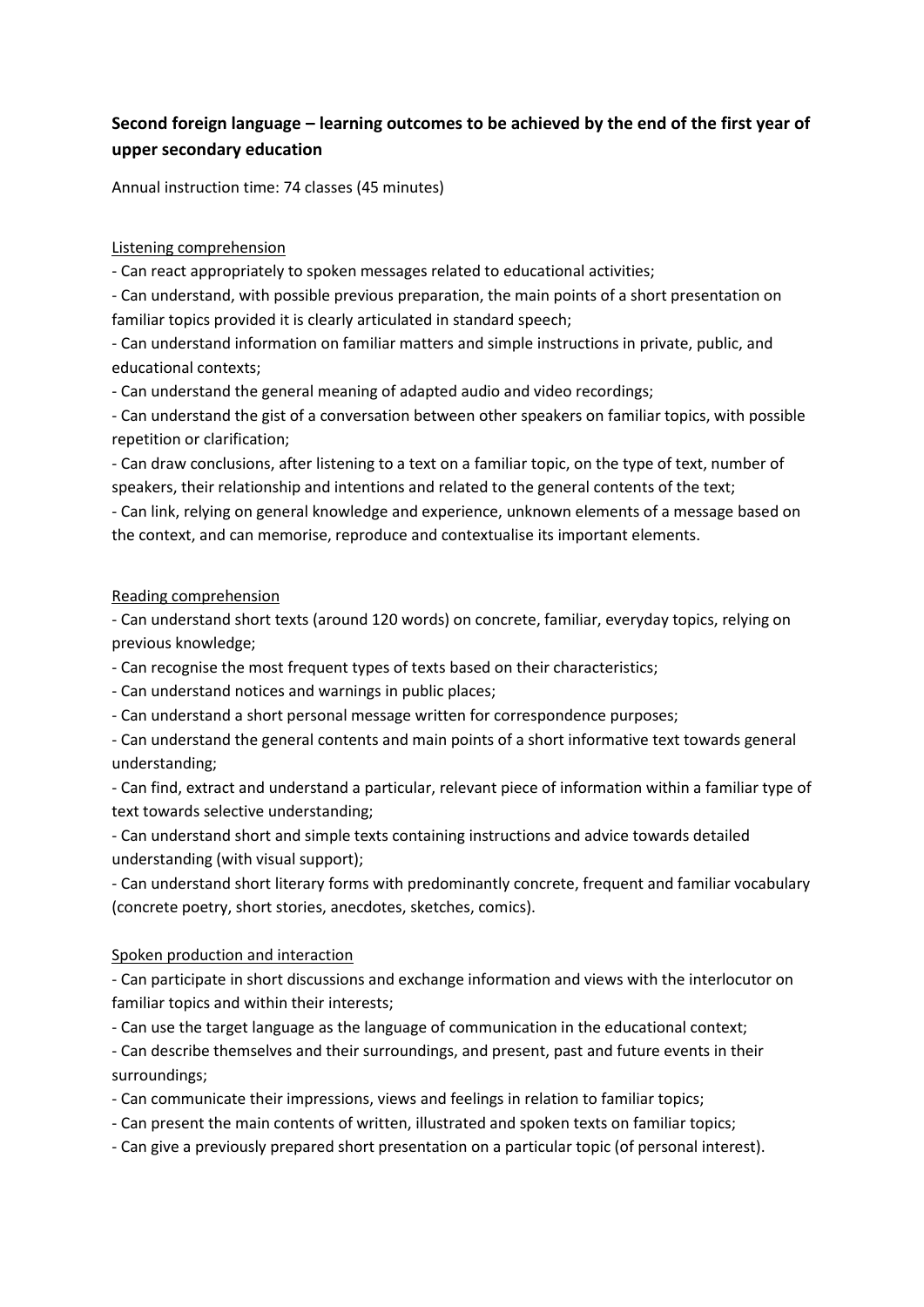# **Second foreign language – learning outcomes to be achieved by the end of the first year of upper secondary education**

Annual instruction time: 74 classes (45 minutes)

## Listening comprehension

- Can react appropriately to spoken messages related to educational activities;

- Can understand, with possible previous preparation, the main points of a short presentation on familiar topics provided it is clearly articulated in standard speech;

- Can understand information on familiar matters and simple instructions in private, public, and educational contexts;

- Can understand the general meaning of adapted audio and video recordings;

- Can understand the gist of a conversation between other speakers on familiar topics, with possible repetition or clarification;

- Can draw conclusions, after listening to a text on a familiar topic, on the type of text, number of speakers, their relationship and intentions and related to the general contents of the text;

- Can link, relying on general knowledge and experience, unknown elements of a message based on the context, and can memorise, reproduce and contextualise its important elements.

## Reading comprehension

- Can understand short texts (around 120 words) on concrete, familiar, everyday topics, relying on previous knowledge;

- Can recognise the most frequent types of texts based on their characteristics;

- Can understand notices and warnings in public places;

- Can understand a short personal message written for correspondence purposes;

- Can understand the general contents and main points of a short informative text towards general understanding;

- Can find, extract and understand a particular, relevant piece of information within a familiar type of text towards selective understanding;

- Can understand short and simple texts containing instructions and advice towards detailed understanding (with visual support);

- Can understand short literary forms with predominantly concrete, frequent and familiar vocabulary (concrete poetry, short stories, anecdotes, sketches, comics).

## Spoken production and interaction

- Can participate in short discussions and exchange information and views with the interlocutor on familiar topics and within their interests;

- Can use the target language as the language of communication in the educational context;

- Can describe themselves and their surroundings, and present, past and future events in their surroundings;

- Can communicate their impressions, views and feelings in relation to familiar topics;

- Can present the main contents of written, illustrated and spoken texts on familiar topics;

- Can give a previously prepared short presentation on a particular topic (of personal interest).